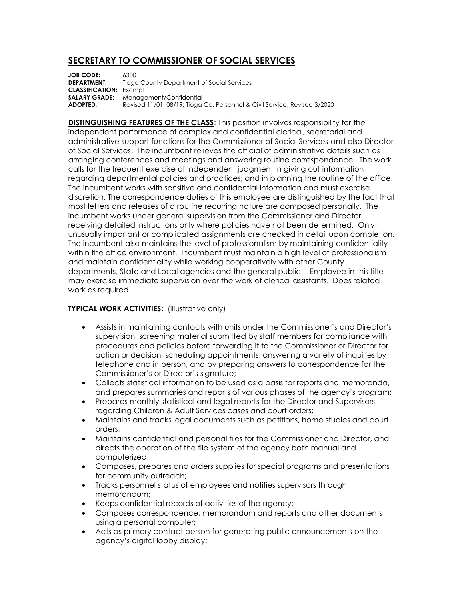## **SECRETARY TO COMMISSIONER OF SOCIAL SERVICES**

**JOB CODE:** 6300<br>**DEPARTMENT:** Tiogo **Tioga County Department of Social Services CLASSIFICATION:** Exempt **SALARY GRADE:** Management/Confidential **ADOPTED:** Revised 11/01, 08/19; Tioga Co. Personnel & Civil Service; Revised 3/2020

**DISTINGUISHING FEATURES OF THE CLASS:** This position involves responsibility for the independent performance of complex and confidential clerical, secretarial and administrative support functions for the Commissioner of Social Services and also Director of Social Services. The incumbent relieves the official of administrative details such as arranging conferences and meetings and answering routine correspondence. The work calls for the frequent exercise of independent judgment in giving out information regarding departmental policies and practices; and in planning the routine of the office. The incumbent works with sensitive and confidential information and must exercise discretion. The correspondence duties of this employee are distinguished by the fact that most letters and releases of a routine recurring nature are composed personally. The incumbent works under general supervision from the Commissioner and Director, receiving detailed instructions only where policies have not been determined. Only unusually important or complicated assignments are checked in detail upon completion. The incumbent also maintains the level of professionalism by maintaining confidentiality within the office environment. Incumbent must maintain a high level of professionalism and maintain confidentiality while working cooperatively with other County departments, State and Local agencies and the general public. Employee in this title may exercise immediate supervision over the work of clerical assistants. Does related work as required.

## **TYPICAL WORK ACTIVITIES:** (Illustrative only)

- Assists in maintaining contacts with units under the Commissioner's and Director's supervision, screening material submitted by staff members for compliance with procedures and policies before forwarding it to the Commissioner or Director for action or decision, scheduling appointments, answering a variety of inquiries by telephone and in person, and by preparing answers to correspondence for the Commissioner's or Director's signature;
- Collects statistical information to be used as a basis for reports and memoranda, and prepares summaries and reports of various phases of the agency's program;
- Prepares monthly statistical and legal reports for the Director and Supervisors regarding Children & Adult Services cases and court orders;
- Maintains and tracks legal documents such as petitions, home studies and court orders;
- Maintains confidential and personal files for the Commissioner and Director, and directs the operation of the file system of the agency both manual and computerized;
- Composes, prepares and orders supplies for special programs and presentations for community outreach;
- Tracks personnel status of employees and notifies supervisors through memorandum;
- Keeps confidential records of activities of the agency;
- Composes correspondence, memorandum and reports and other documents using a personal computer;
- Acts as primary contact person for generating public announcements on the agency's digital lobby display;